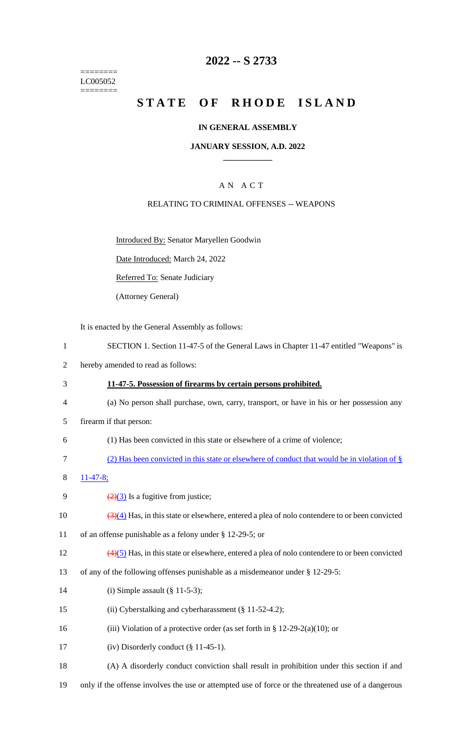======== LC005052 ========

## **2022 -- S 2733**

# **STATE OF RHODE ISLAND**

### **IN GENERAL ASSEMBLY**

### **JANUARY SESSION, A.D. 2022 \_\_\_\_\_\_\_\_\_\_\_\_**

## A N A C T

### RELATING TO CRIMINAL OFFENSES -- WEAPONS

Introduced By: Senator Maryellen Goodwin

Date Introduced: March 24, 2022

Referred To: Senate Judiciary

(Attorney General)

It is enacted by the General Assembly as follows:

- 1 SECTION 1. Section 11-47-5 of the General Laws in Chapter 11-47 entitled "Weapons" is
- 2 hereby amended to read as follows:
- 3 **11-47-5. Possession of firearms by certain persons prohibited.**
- 4 (a) No person shall purchase, own, carry, transport, or have in his or her possession any
- 5 firearm if that person:
- 6 (1) Has been convicted in this state or elsewhere of a crime of violence;
- 7 (2) Has been convicted in this state or elsewhere of conduct that would be in violation of §
- 8 11-47-8;
- 9  $\frac{2(3)}{2}$  Is a fugitive from justice;
- 10  $\left(\frac{3}{4}\right)$  Has, in this state or elsewhere, entered a plea of nolo contendere to or been convicted
- 11 of an offense punishable as a felony under § 12-29-5; or
- 12 (4)(5) Has, in this state or elsewhere, entered a plea of nolo contendere to or been convicted
- 13 of any of the following offenses punishable as a misdemeanor under § 12-29-5:
- 14 (i) Simple assault (§ 11-5-3);
- 15 (ii) Cyberstalking and cyberharassment (§ 11-52-4.2);
- 16 (iii) Violation of a protective order (as set forth in § 12-29-2(a)(10); or
- 17 (iv) Disorderly conduct (§ 11-45-1).
- 18 (A) A disorderly conduct conviction shall result in prohibition under this section if and
- 19 only if the offense involves the use or attempted use of force or the threatened use of a dangerous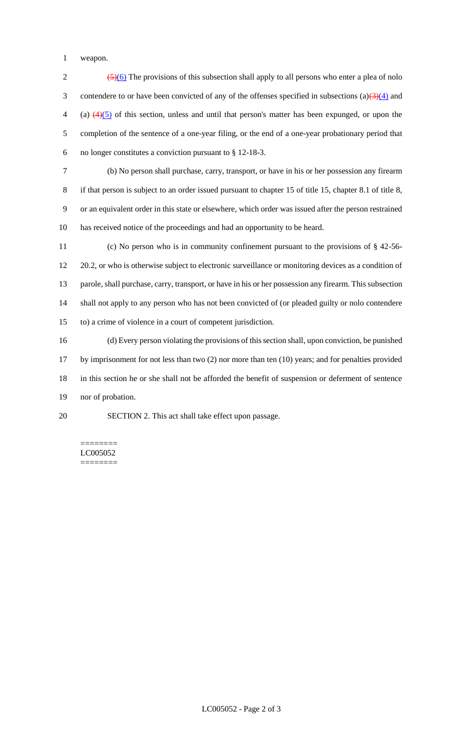weapon.

 $\frac{(5)(6)}{2}$  The provisions of this subsection shall apply to all persons who enter a plea of nolo 3 contendere to or have been convicted of any of the offenses specified in subsections (a) $\left(\frac{3}{4}\right)$  and (a)  $\left(4\right)\left(5\right)$  of this section, unless and until that person's matter has been expunged, or upon the completion of the sentence of a one-year filing, or the end of a one-year probationary period that no longer constitutes a conviction pursuant to § 12-18-3. (b) No person shall purchase, carry, transport, or have in his or her possession any firearm if that person is subject to an order issued pursuant to chapter 15 of title 15, chapter 8.1 of title 8, or an equivalent order in this state or elsewhere, which order was issued after the person restrained has received notice of the proceedings and had an opportunity to be heard. (c) No person who is in community confinement pursuant to the provisions of § 42-56- 20.2, or who is otherwise subject to electronic surveillance or monitoring devices as a condition of parole, shall purchase, carry, transport, or have in his or her possession any firearm. This subsection shall not apply to any person who has not been convicted of (or pleaded guilty or nolo contendere to) a crime of violence in a court of competent jurisdiction. (d) Every person violating the provisions of this section shall, upon conviction, be punished by imprisonment for not less than two (2) nor more than ten (10) years; and for penalties provided in this section he or she shall not be afforded the benefit of suspension or deferment of sentence nor of probation.

SECTION 2. This act shall take effect upon passage.

======== LC005052 ========